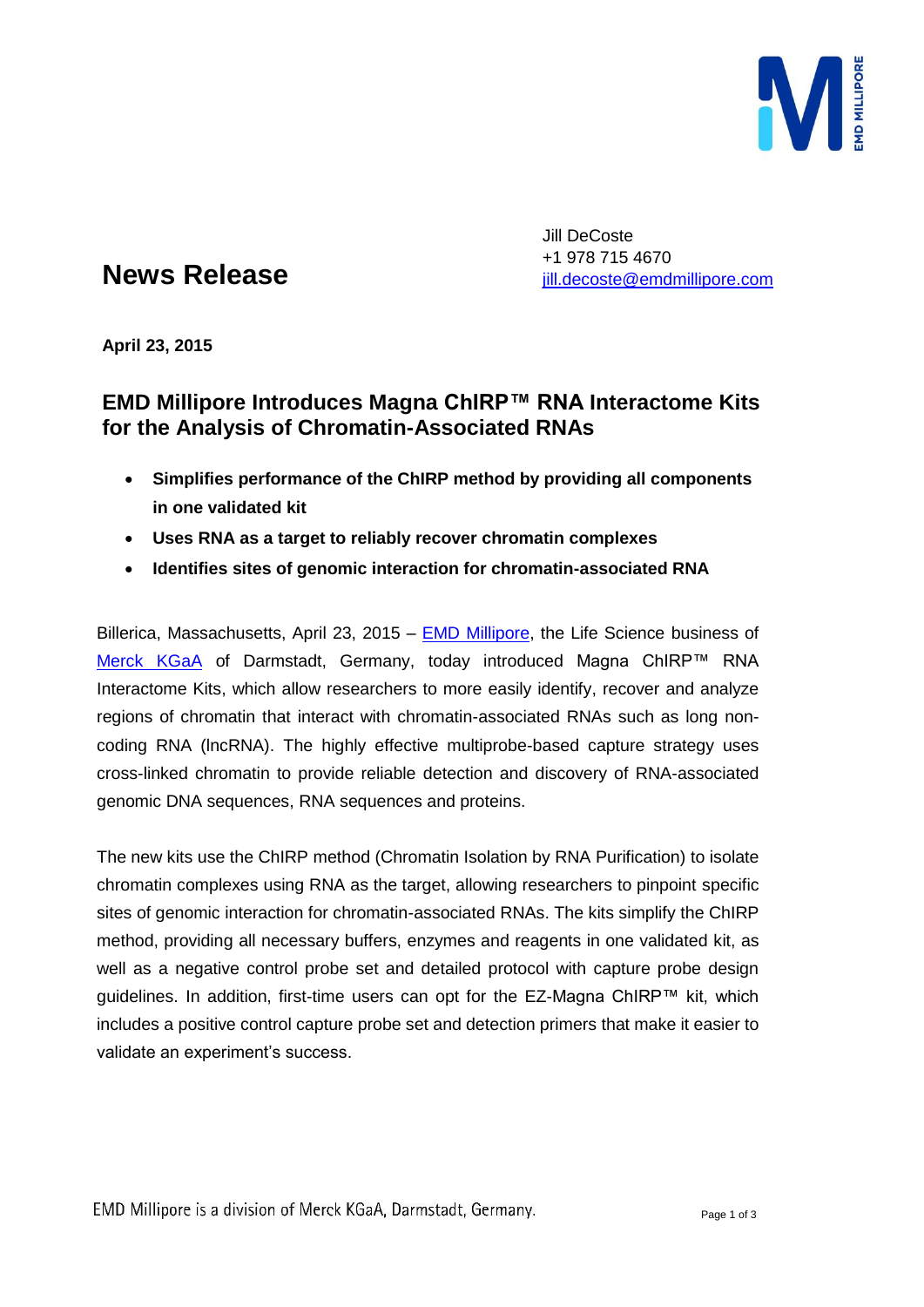

# **News Release**

Jill DeCoste +1 978 715 4670 [jill.decoste@emdmillipore.com](mailto:jill.decoste@emdmillipore.com)

**April 23, 2015**

# **EMD Millipore Introduces Magna ChIRP™ RNA Interactome Kits for the Analysis of Chromatin-Associated RNAs**

- **Simplifies performance of the ChIRP method by providing all components in one validated kit**
- **Uses RNA as a target to reliably recover chromatin complexes**
- **Identifies sites of genomic interaction for chromatin-associated RNA**

Billerica, Massachusetts, April 23, 2015 – [EMD Millipore,](http://www.emdmillipore.com/) the Life Science business of [Merck KGaA](http://www.merck.de/) of Darmstadt, Germany, today introduced Magna ChIRP™ RNA Interactome Kits, which allow researchers to more easily identify, recover and analyze regions of chromatin that interact with chromatin-associated RNAs such as long noncoding RNA (lncRNA). The highly effective multiprobe-based capture strategy uses cross-linked chromatin to provide reliable detection and discovery of RNA-associated genomic DNA sequences, RNA sequences and proteins.

The new kits use the ChIRP method (Chromatin Isolation by RNA Purification) to isolate chromatin complexes using RNA as the target, allowing researchers to pinpoint specific sites of genomic interaction for chromatin-associated RNAs. The kits simplify the ChIRP method, providing all necessary buffers, enzymes and reagents in one validated kit, as well as a negative control probe set and detailed protocol with capture probe design guidelines. In addition, first-time users can opt for the EZ-Magna ChIRP™ kit, which includes a positive control capture probe set and detection primers that make it easier to validate an experiment's success.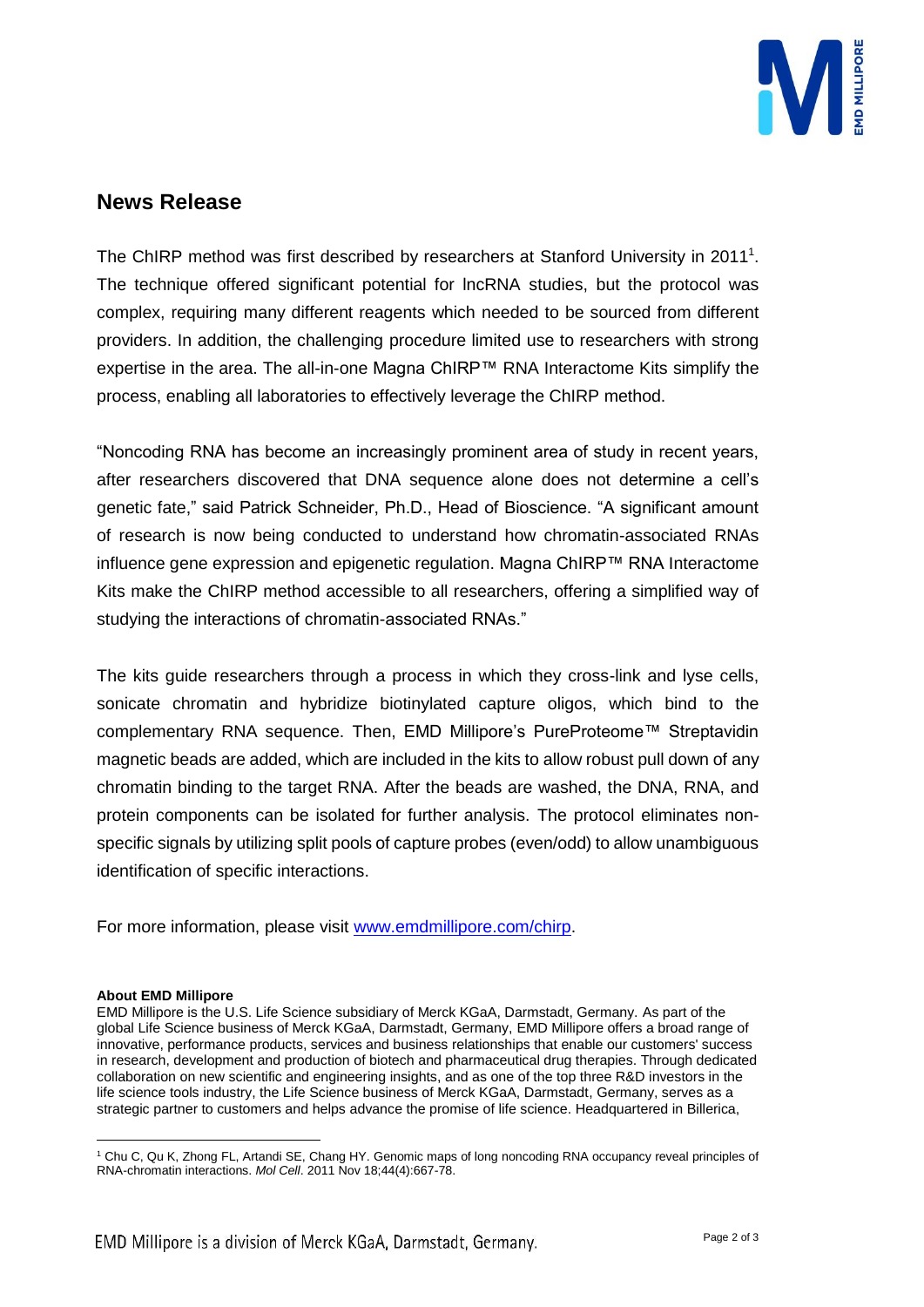

### **News Release**

The ChIRP method was first described by researchers at Stanford University in 2011<sup>1</sup>. The technique offered significant potential for lncRNA studies, but the protocol was complex, requiring many different reagents which needed to be sourced from different providers. In addition, the challenging procedure limited use to researchers with strong expertise in the area. The all-in-one Magna ChIRP™ RNA Interactome Kits simplify the process, enabling all laboratories to effectively leverage the ChIRP method.

"Noncoding RNA has become an increasingly prominent area of study in recent years, after researchers discovered that DNA sequence alone does not determine a cell's genetic fate," said Patrick Schneider, Ph.D., Head of Bioscience. "A significant amount of research is now being conducted to understand how chromatin-associated RNAs influence gene expression and epigenetic regulation. Magna ChIRP™ RNA Interactome Kits make the ChIRP method accessible to all researchers, offering a simplified way of studying the interactions of chromatin-associated RNAs."

The kits guide researchers through a process in which they cross-link and lyse cells, sonicate chromatin and hybridize biotinylated capture oligos, which bind to the complementary RNA sequence. Then, EMD Millipore's PureProteome™ Streptavidin magnetic beads are added, which are included in the kits to allow robust pull down of any chromatin binding to the target RNA. After the beads are washed, the DNA, RNA, and protein components can be isolated for further analysis. The protocol eliminates nonspecific signals by utilizing split pools of capture probes (even/odd) to allow unambiguous identification of specific interactions.

For more information, please visit [www.emdmillipore.com/chirp.](http://www.emdmillipore.com/chirp)

#### **About EMD Millipore**

 $\overline{a}$ 

EMD Millipore is the U.S. Life Science subsidiary of Merck KGaA, Darmstadt, Germany. As part of the global Life Science business of Merck KGaA, Darmstadt, Germany, EMD Millipore offers a broad range of innovative, performance products, services and business relationships that enable our customers' success in research, development and production of biotech and pharmaceutical drug therapies. Through dedicated collaboration on new scientific and engineering insights, and as one of the top three R&D investors in the life science tools industry, the Life Science business of Merck KGaA, Darmstadt, Germany, serves as a strategic partner to customers and helps advance the promise of life science. Headquartered in Billerica,

<sup>1</sup> Chu C, Qu K, Zhong FL, Artandi SE, Chang HY. Genomic maps of long noncoding RNA occupancy reveal principles of RNA-chromatin interactions. *Mol Cell*. 2011 Nov 18;44(4):667-78.